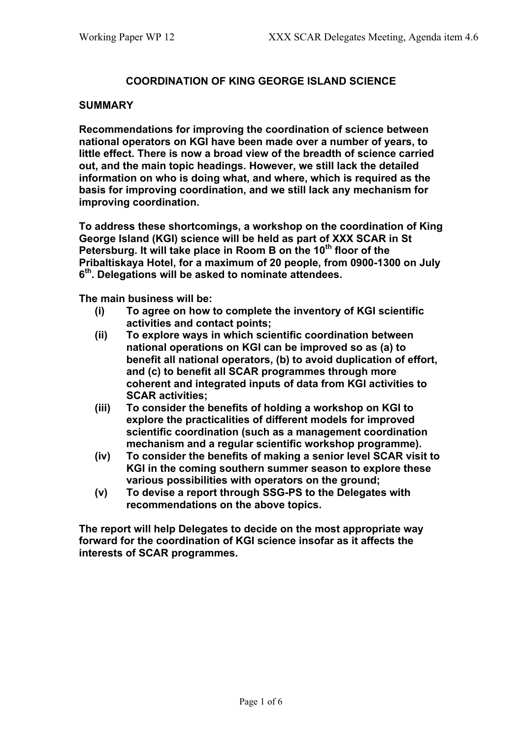## **COORDINATION OF KING GEORGE ISLAND SCIENCE**

#### **SUMMARY**

**Recommendations for improving the coordination of science between national operators on KGI have been made over a number of years, to little effect. There is now a broad view of the breadth of science carried out, and the main topic headings. However, we still lack the detailed information on who is doing what, and where, which is required as the basis for improving coordination, and we still lack any mechanism for improving coordination.**

**To address these shortcomings, a workshop on the coordination of King George Island (KGI) science will be held as part of XXX SCAR in St Petersburg. It will take place in Room B on the 10th floor of the Pribaltiskaya Hotel, for a maximum of 20 people, from 0900-1300 on July 6th. Delegations will be asked to nominate attendees.**

**The main business will be:**

- **(i) To agree on how to complete the inventory of KGI scientific activities and contact points;**
- **(ii) To explore ways in which scientific coordination between national operations on KGI can be improved so as (a) to benefit all national operators, (b) to avoid duplication of effort, and (c) to benefit all SCAR programmes through more coherent and integrated inputs of data from KGI activities to SCAR activities;**
- **(iii) To consider the benefits of holding a workshop on KGI to explore the practicalities of different models for improved scientific coordination (such as a management coordination mechanism and a regular scientific workshop programme).**
- **(iv) To consider the benefits of making a senior level SCAR visit to KGI in the coming southern summer season to explore these various possibilities with operators on the ground;**
- **(v) To devise a report through SSG-PS to the Delegates with recommendations on the above topics.**

**The report will help Delegates to decide on the most appropriate way forward for the coordination of KGI science insofar as it affects the interests of SCAR programmes.**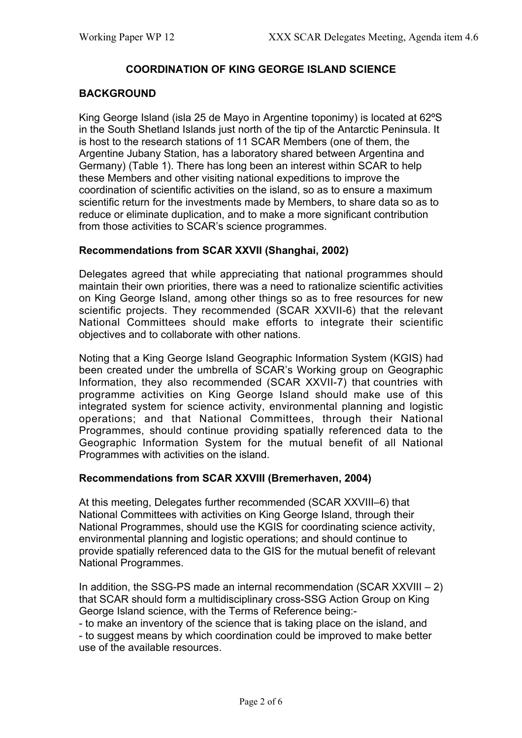# **COORDINATION OF KING GEORGE ISLAND SCIENCE**

#### **BACKGROUND**

King George Island (isla 25 de Mayo in Argentine toponimy) is located at 62ºS in the South Shetland Islands just north of the tip of the Antarctic Peninsula. It is host to the research stations of 11 SCAR Members (one of them, the Argentine Jubany Station, has a laboratory shared between Argentina and Germany) (Table 1). There has long been an interest within SCAR to help these Members and other visiting national expeditions to improve the coordination of scientific activities on the island, so as to ensure a maximum scientific return for the investments made by Members, to share data so as to reduce or eliminate duplication, and to make a more significant contribution from those activities to SCAR's science programmes.

#### **Recommendations from SCAR XXVII (Shanghai, 2002)**

Delegates agreed that while appreciating that national programmes should maintain their own priorities, there was a need to rationalize scientific activities on King George Island, among other things so as to free resources for new scientific projects. They recommended (SCAR XXVII-6) that the relevant National Committees should make efforts to integrate their scientific objectives and to collaborate with other nations.

Noting that a King George Island Geographic Information System (KGIS) had been created under the umbrella of SCAR's Working group on Geographic Information, they also recommended (SCAR XXVII-7) that countries with programme activities on King George Island should make use of this integrated system for science activity, environmental planning and logistic operations; and that National Committees, through their National Programmes, should continue providing spatially referenced data to the Geographic Information System for the mutual benefit of all National Programmes with activities on the island.

#### **Recommendations from SCAR XXVIII (Bremerhaven, 2004)**

At this meeting, Delegates further recommended (SCAR XXVIII–6) that National Committees with activities on King George Island, through their National Programmes, should use the KGIS for coordinating science activity, environmental planning and logistic operations; and should continue to provide spatially referenced data to the GIS for the mutual benefit of relevant National Programmes.

In addition, the SSG-PS made an internal recommendation (SCAR XXVIII  $-2$ ) that SCAR should form a multidisciplinary cross-SSG Action Group on King George Island science, with the Terms of Reference being:-

- to make an inventory of the science that is taking place on the island, and - to suggest means by which coordination could be improved to make better

use of the available resources.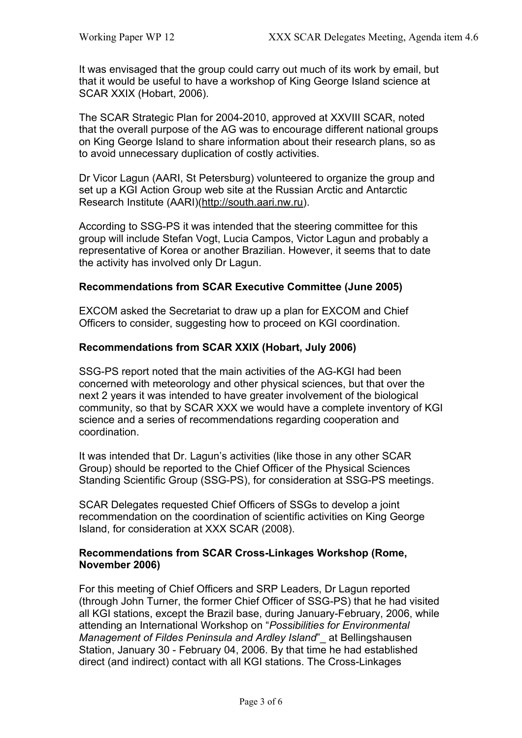It was envisaged that the group could carry out much of its work by email, but that it would be useful to have a workshop of King George Island science at SCAR XXIX (Hobart, 2006).

The SCAR Strategic Plan for 2004-2010, approved at XXVIII SCAR, noted that the overall purpose of the AG was to encourage different national groups on King George Island to share information about their research plans, so as to avoid unnecessary duplication of costly activities.

Dr Vicor Lagun (AARI, St Petersburg) volunteered to organize the group and set up a KGI Action Group web site at the Russian Arctic and Antarctic Research Institute (AARI)(http://south.aari.nw.ru).

According to SSG-PS it was intended that the steering committee for this group will include Stefan Vogt, Lucia Campos, Victor Lagun and probably a representative of Korea or another Brazilian. However, it seems that to date the activity has involved only Dr Lagun.

## **Recommendations from SCAR Executive Committee (June 2005)**

EXCOM asked the Secretariat to draw up a plan for EXCOM and Chief Officers to consider, suggesting how to proceed on KGI coordination.

## **Recommendations from SCAR XXIX (Hobart, July 2006)**

SSG-PS report noted that the main activities of the AG-KGI had been concerned with meteorology and other physical sciences, but that over the next 2 years it was intended to have greater involvement of the biological community, so that by SCAR XXX we would have a complete inventory of KGI science and a series of recommendations regarding cooperation and coordination.

It was intended that Dr. Lagun's activities (like those in any other SCAR Group) should be reported to the Chief Officer of the Physical Sciences Standing Scientific Group (SSG-PS), for consideration at SSG-PS meetings.

SCAR Delegates requested Chief Officers of SSGs to develop a joint recommendation on the coordination of scientific activities on King George Island, for consideration at XXX SCAR (2008).

## **Recommendations from SCAR Cross-Linkages Workshop (Rome, November 2006)**

For this meeting of Chief Officers and SRP Leaders, Dr Lagun reported (through John Turner, the former Chief Officer of SSG-PS) that he had visited all KGI stations, except the Brazil base, during January-February, 2006, while attending an International Workshop on "*Possibilities for Environmental Management of Fildes Peninsula and Ardley Island*"\_ at Bellingshausen Station, January 30 - February 04, 2006. By that time he had established direct (and indirect) contact with all KGI stations. The Cross-Linkages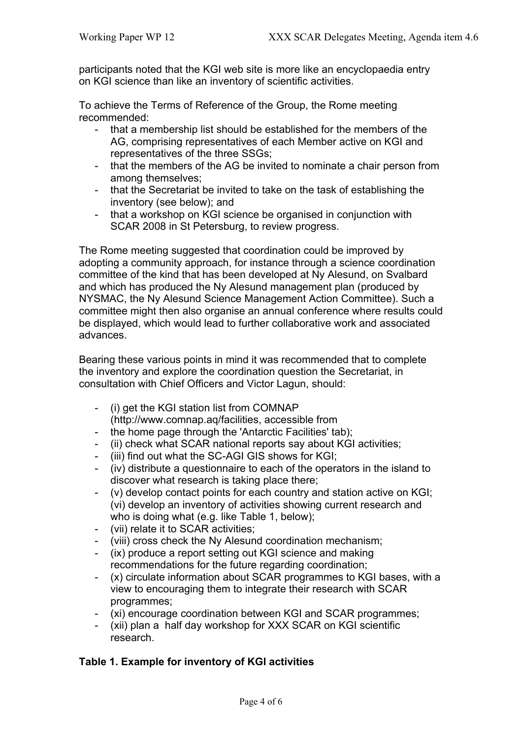participants noted that the KGI web site is more like an encyclopaedia entry on KGI science than like an inventory of scientific activities.

To achieve the Terms of Reference of the Group, the Rome meeting recommended:

- that a membership list should be established for the members of the AG, comprising representatives of each Member active on KGI and representatives of the three SSGs;
- that the members of the AG be invited to nominate a chair person from among themselves;
- that the Secretariat be invited to take on the task of establishing the inventory (see below); and
- that a workshop on KGI science be organised in conjunction with SCAR 2008 in St Petersburg, to review progress.

The Rome meeting suggested that coordination could be improved by adopting a community approach, for instance through a science coordination committee of the kind that has been developed at Ny Alesund, on Svalbard and which has produced the Ny Alesund management plan (produced by NYSMAC, the Ny Alesund Science Management Action Committee). Such a committee might then also organise an annual conference where results could be displayed, which would lead to further collaborative work and associated advances.

Bearing these various points in mind it was recommended that to complete the inventory and explore the coordination question the Secretariat, in consultation with Chief Officers and Victor Lagun, should:

- (i) get the KGI station list from COMNAP (http://www.comnap.aq/facilities, accessible from
- the home page through the 'Antarctic Facilities' tab);
- (ii) check what SCAR national reports say about KGI activities;
- (iii) find out what the SC-AGI GIS shows for KGI:
- (iv) distribute a questionnaire to each of the operators in the island to discover what research is taking place there;
- (v) develop contact points for each country and station active on KGI; (vi) develop an inventory of activities showing current research and who is doing what (e.g. like Table 1, below);
- (vii) relate it to SCAR activities:
- (viii) cross check the Ny Alesund coordination mechanism;
- (ix) produce a report setting out KGI science and making recommendations for the future regarding coordination;
- (x) circulate information about SCAR programmes to KGI bases, with a view to encouraging them to integrate their research with SCAR programmes;
- (xi) encourage coordination between KGI and SCAR programmes;
- (xii) plan a half day workshop for XXX SCAR on KGI scientific research.

# **Table 1. Example for inventory of KGI activities**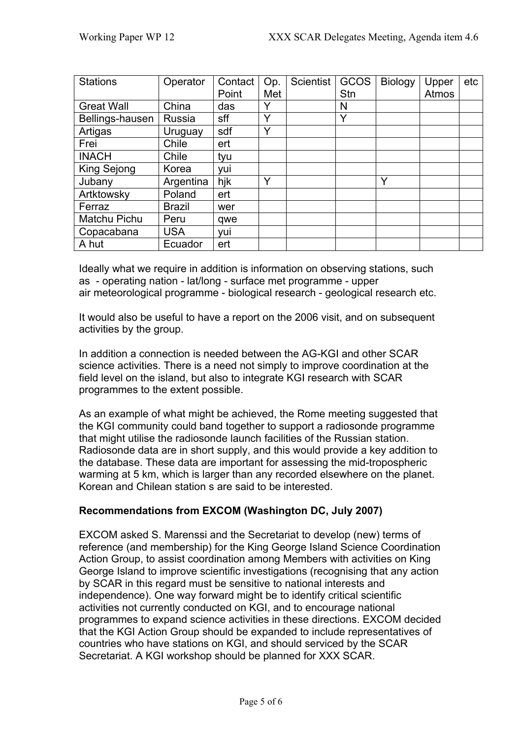| <b>Stations</b>   | Operator      | Contact<br>Point | Op.<br>Met  | <b>Scientist</b> | GCOS<br>Stn | <b>Biology</b> | Upper<br>Atmos | etc |
|-------------------|---------------|------------------|-------------|------------------|-------------|----------------|----------------|-----|
| <b>Great Wall</b> | China         | das              |             |                  | N           |                |                |     |
| Bellings-hausen   | Russia        | sff              | Υ           |                  | Y           |                |                |     |
| Artigas           | Uruguay       | sdf              | $\check{ }$ |                  |             |                |                |     |
| Frei              | Chile         | ert              |             |                  |             |                |                |     |
| <b>INACH</b>      | Chile         | tyu              |             |                  |             |                |                |     |
| King Sejong       | Korea         | yui              |             |                  |             |                |                |     |
| Jubany            | Argentina     | hjk              | Y           |                  |             | Y              |                |     |
| Artktowsky        | Poland        | ert              |             |                  |             |                |                |     |
| Ferraz            | <b>Brazil</b> | wer              |             |                  |             |                |                |     |
| Matchu Pichu      | Peru          | qwe              |             |                  |             |                |                |     |
| Copacabana        | <b>USA</b>    | yui              |             |                  |             |                |                |     |
| A hut             | Ecuador       | ert              |             |                  |             |                |                |     |

Ideally what we require in addition is information on observing stations, such as - operating nation - lat/long - surface met programme - upper air meteorological programme - biological research - geological research etc.

It would also be useful to have a report on the 2006 visit, and on subsequent activities by the group.

In addition a connection is needed between the AG-KGI and other SCAR science activities. There is a need not simply to improve coordination at the field level on the island, but also to integrate KGI research with SCAR programmes to the extent possible.

As an example of what might be achieved, the Rome meeting suggested that the KGI community could band together to support a radiosonde programme that might utilise the radiosonde launch facilities of the Russian station. Radiosonde data are in short supply, and this would provide a key addition to the database. These data are important for assessing the mid-tropospheric warming at 5 km, which is larger than any recorded elsewhere on the planet. Korean and Chilean station s are said to be interested.

# **Recommendations from EXCOM (Washington DC, July 2007)**

EXCOM asked S. Marenssi and the Secretariat to develop (new) terms of reference (and membership) for the King George Island Science Coordination Action Group, to assist coordination among Members with activities on King George Island to improve scientific investigations (recognising that any action by SCAR in this regard must be sensitive to national interests and independence). One way forward might be to identify critical scientific activities not currently conducted on KGI, and to encourage national programmes to expand science activities in these directions. EXCOM decided that the KGI Action Group should be expanded to include representatives of countries who have stations on KGI, and should serviced by the SCAR Secretariat. A KGI workshop should be planned for XXX SCAR.